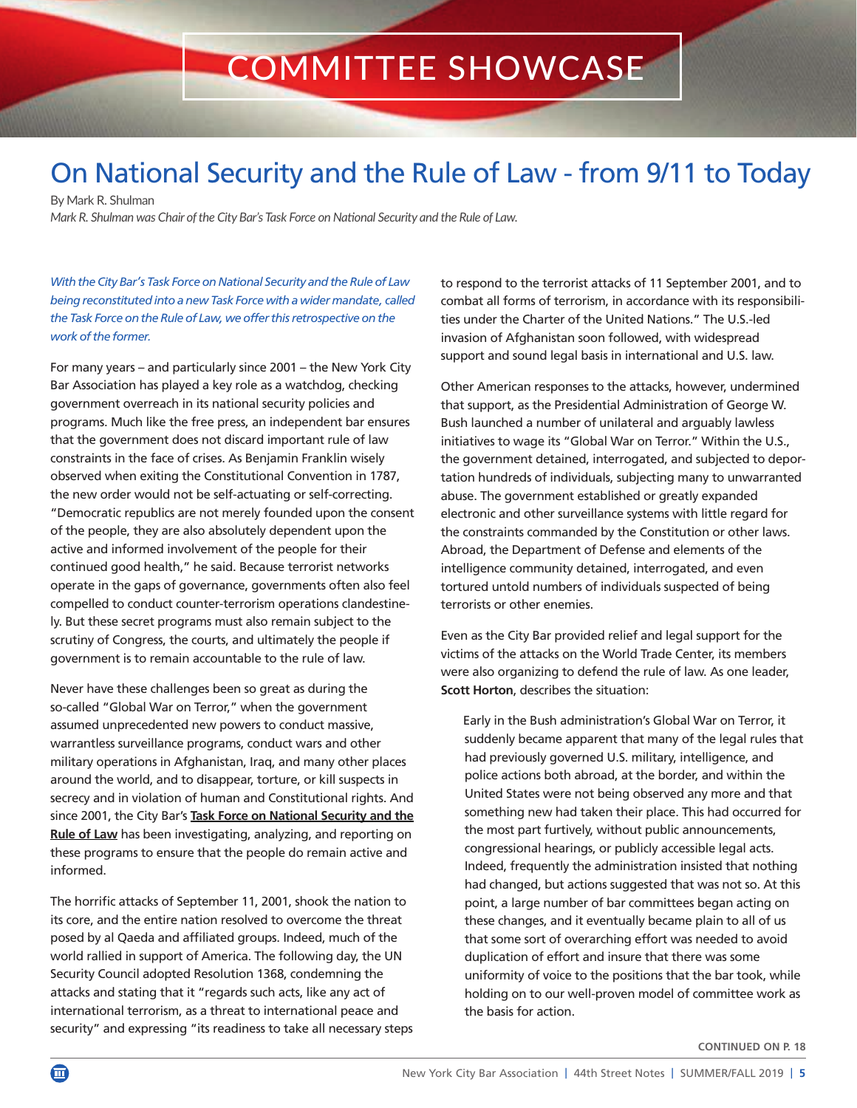## COMMITTEE SHOWCASE

## On National Security and the Rule of Law - from 9/11 to Today

By Mark R. Shulman

*Mark R. Shulman was Chair of the City Bar's Task Force on National Security and the Rule of Law.*

With the City Bar's Task Force on National Security and the Rule of Law being reconstituted into a new Task Force with a wider mandate, called the Task Force on the Rule of Law, we offer this retrospective on the work of the former.

For many years – and particularly since 2001 – the New York City Bar Association has played a key role as a watchdog, checking government overreach in its national security policies and programs. Much like the free press, an independent bar ensures that the government does not discard important rule of law constraints in the face of crises. As Benjamin Franklin wisely observed when exiting the Constitutional Convention in 1787, the new order would not be self-actuating or self-correcting. "Democratic republics are not merely founded upon the consent of the people, they are also absolutely dependent upon the active and informed involvement of the people for their continued good health," he said. Because terrorist networks operate in the gaps of governance, governments often also feel compelled to conduct counter-terrorism operations clandestinely. But these secret programs must also remain subject to the scrutiny of Congress, the courts, and ultimately the people if government is to remain accountable to the rule of law.

Never have these challenges been so great as during the so-called "Global War on Terror," when the government assumed unprecedented new powers to conduct massive, warrantless surveillance programs, conduct wars and other military operations in Afghanistan, Iraq, and many other places around the world, and to disappear, torture, or kill suspects in secrecy and in violation of human and Constitutional rights. And since 2001, the City Bar's **[Task Force on National Security and the](https://www.nycbar.org/member-and-career-services/committees/national-security-and-the-rule-of-law-task-force-on) [Rule of Law](https://www.nycbar.org/member-and-career-services/committees/national-security-and-the-rule-of-law-task-force-on)** has been investigating, analyzing, and reporting on these programs to ensure that the people do remain active and informed.

The horrific attacks of September 11, 2001, shook the nation to its core, and the entire nation resolved to overcome the threat posed by al Qaeda and affiliated groups. Indeed, much of the world rallied in support of America. The following day, the UN Security Council adopted Resolution 1368, condemning the attacks and stating that it "regards such acts, like any act of international terrorism, as a threat to international peace and security" and expressing "its readiness to take all necessary steps to respond to the terrorist attacks of 11 September 2001, and to combat all forms of terrorism, in accordance with its responsibilities under the Charter of the United Nations." The U.S.-led invasion of Afghanistan soon followed, with widespread support and sound legal basis in international and U.S. law.

Other American responses to the attacks, however, undermined that support, as the Presidential Administration of George W. Bush launched a number of unilateral and arguably lawless initiatives to wage its "Global War on Terror." Within the U.S., the government detained, interrogated, and subjected to deportation hundreds of individuals, subjecting many to unwarranted abuse. The government established or greatly expanded electronic and other surveillance systems with little regard for the constraints commanded by the Constitution or other laws. Abroad, the Department of Defense and elements of the intelligence community detained, interrogated, and even tortured untold numbers of individuals suspected of being terrorists or other enemies.

Even as the City Bar provided relief and legal support for the victims of the attacks on the World Trade Center, its members were also organizing to defend the rule of law. As one leader, **Scott Horton**, describes the situation:

Early in the Bush administration's Global War on Terror, it suddenly became apparent that many of the legal rules that had previously governed U.S. military, intelligence, and police actions both abroad, at the border, and within the United States were not being observed any more and that something new had taken their place. This had occurred for the most part furtively, without public announcements, congressional hearings, or publicly accessible legal acts. Indeed, frequently the administration insisted that nothing had changed, but actions suggested that was not so. At this point, a large number of bar committees began acting on these changes, and it eventually became plain to all of us that some sort of overarching effort was needed to avoid duplication of effort and insure that there was some uniformity of voice to the positions that the bar took, while holding on to our well-proven model of committee work as the basis for action.

**CONTINUED ON P. 18**

 $\bf \bf \bm \Omega$